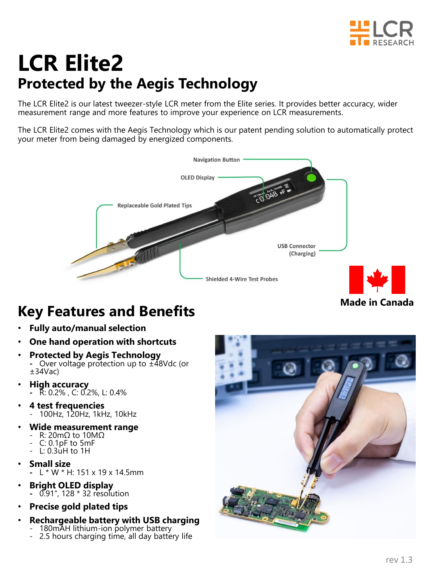

# **LCR Elite2 Protected by the Aegis Technology**

The LCR Elite2 is our latest tweezer-style LCR meter from the Elite series. It provides better accuracy, wider measurement range and more features to improve your experience on LCR measurements.

The LCR Elite2 comes with the Aegis Technology which is our patent pending solution to automatically protect your meter from being damaged by energized components.



#### **Made in Canada**

## **Key Features and Benefits**

- **Fully auto/manual selection**
- **One hand operation with shortcuts**
- **Protected by Aegis Technology -** Over voltage protection up to ±48Vdc (or ±34Vac)
- **High accuracy -** R: 0.2% , C: 0.2%, L: 0.4%
- **4 test frequencies**  - 100Hz, 120Hz, 1kHz, 10kHz
- **Wide measurement range**
	- R: 20mΩ to 10MΩ
		- C: 0.1pF to 5mF
	- $-L: 0.3$ uH to 1H
- **Small size** 
	- **-** L \* W \* H: 151 x 19 x 14.5mm
- **Bright OLED display -** 0.91", 128 \* 32 resolution
- **Precise gold plated tips**
- **Rechargeable battery with USB charging** 
	- 180mAH lithium-ion polymer battery<br>- 2.5 hours charging time, all day batte 2.5 hours charging time, all day battery life

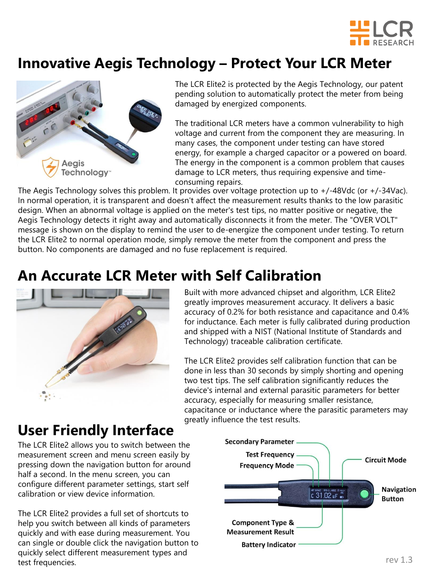

## **Innovative Aegis Technology – Protect Your LCR Meter**



The LCR Elite2 is protected by the Aegis Technology, our patent pending solution to automatically protect the meter from being damaged by energized components.

The traditional LCR meters have a common vulnerability to high voltage and current from the component they are measuring. In many cases, the component under testing can have stored energy, for example a charged capacitor or a powered on board. The energy in the component is a common problem that causes damage to LCR meters, thus requiring expensive and timeconsuming repairs.

The Aegis Technology solves this problem. It provides over voltage protection up to +/-48Vdc (or +/-34Vac). In normal operation, it is transparent and doesn't affect the measurement results thanks to the low parasitic design. When an abnormal voltage is applied on the meter's test tips, no matter positive or negative, the Aegis Technology detects it right away and automatically disconnects it from the meter. The "OVER VOLT" message is shown on the display to remind the user to de-energize the component under testing. To return the LCR Elite2 to normal operation mode, simply remove the meter from the component and press the button. No components are damaged and no fuse replacement is required.

### **An Accurate LCR Meter with Self Calibration**



Built with more advanced chipset and algorithm, LCR Elite2 greatly improves measurement accuracy. It delivers a basic accuracy of 0.2% for both resistance and capacitance and 0.4% for inductance. Each meter is fully calibrated during production and shipped with a NIST (National Institute of Standards and Technology) traceable calibration certificate.

The LCR Elite2 provides self calibration function that can be done in less than 30 seconds by simply shorting and opening two test tips. The self calibration significantly reduces the device's internal and external parasitic parameters for better accuracy, especially for measuring smaller resistance, capacitance or inductance where the parasitic parameters may greatly influence the test results.

### **User Friendly Interface**

The LCR Elite2 allows you to switch between the measurement screen and menu screen easily by pressing down the navigation button for around half a second. In the menu screen, you can configure different parameter settings, start self calibration or view device information.

The LCR Elite2 provides a full set of shortcuts to help you switch between all kinds of parameters quickly and with ease during measurement. You can single or double click the navigation button to quickly select different measurement types and test frequencies.

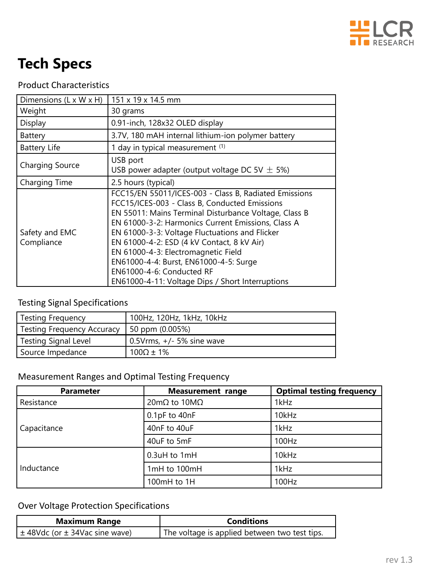

## **Tech Specs**

#### Product Characteristics

| Dimensions (L x W x H)       | 151 x 19 x 14.5 mm                                                                                                                                                                                                                                                                                                                                                                                                                                                                      |  |
|------------------------------|-----------------------------------------------------------------------------------------------------------------------------------------------------------------------------------------------------------------------------------------------------------------------------------------------------------------------------------------------------------------------------------------------------------------------------------------------------------------------------------------|--|
| Weight                       | 30 grams                                                                                                                                                                                                                                                                                                                                                                                                                                                                                |  |
| Display                      | 0.91-inch, 128x32 OLED display                                                                                                                                                                                                                                                                                                                                                                                                                                                          |  |
| Battery                      | 3.7V, 180 mAH internal lithium-ion polymer battery                                                                                                                                                                                                                                                                                                                                                                                                                                      |  |
| <b>Battery Life</b>          | 1 day in typical measurement (1)                                                                                                                                                                                                                                                                                                                                                                                                                                                        |  |
| <b>Charging Source</b>       | USB port<br>USB power adapter (output voltage DC 5V $\pm$ 5%)                                                                                                                                                                                                                                                                                                                                                                                                                           |  |
| Charging Time                | 2.5 hours (typical)                                                                                                                                                                                                                                                                                                                                                                                                                                                                     |  |
| Safety and EMC<br>Compliance | FCC15/EN 55011/ICES-003 - Class B, Radiated Emissions<br>FCC15/ICES-003 - Class B, Conducted Emissions<br>EN 55011: Mains Terminal Disturbance Voltage, Class B<br>EN 61000-3-2: Harmonics Current Emissions, Class A<br>EN 61000-3-3: Voltage Fluctuations and Flicker<br>EN 61000-4-2: ESD (4 kV Contact, 8 kV Air)<br>EN 61000-4-3: Electromagnetic Field<br>EN61000-4-4: Burst, EN61000-4-5: Surge<br>EN61000-4-6: Conducted RF<br>EN61000-4-11: Voltage Dips / Short Interruptions |  |

#### Testing Signal Specifications

| Testing Frequency          | 100Hz, 120Hz, 1kHz, 10kHz             |
|----------------------------|---------------------------------------|
| Testing Frequency Accuracy | 50 ppm (0.005%)                       |
| Testing Signal Level       | $\sqrt{0.5}$ Vrms, $+/-$ 5% sine wave |
| Source Impedance           | $100\Omega \pm 1\%$                   |

#### Measurement Ranges and Optimal Testing Frequency

| <b>Parameter</b> | <b>Measurement range</b>         | <b>Optimal testing frequency</b> |
|------------------|----------------------------------|----------------------------------|
| Resistance       | $20 \text{mA}$ to $10 \text{MA}$ | 1kHz                             |
|                  | 0.1pF to 40nF                    | 10kHz                            |
| Capacitance      | 40nF to 40uF                     | 1kHz                             |
|                  | 40uF to 5mF                      | 100Hz                            |
|                  | 0.3uH to 1mH                     | 10kHz                            |
| Inductance       | 1 $mH$ to 100 $mH$               | 1kHz                             |
|                  | 100mH to 1H                      | 100Hz                            |

#### Over Voltage Protection Specifications

| <b>Maximum Range</b>                   | <b>Conditions</b>                             |  |
|----------------------------------------|-----------------------------------------------|--|
| $\pm$ 48Vdc (or $\pm$ 34Vac sine wave) | The voltage is applied between two test tips. |  |